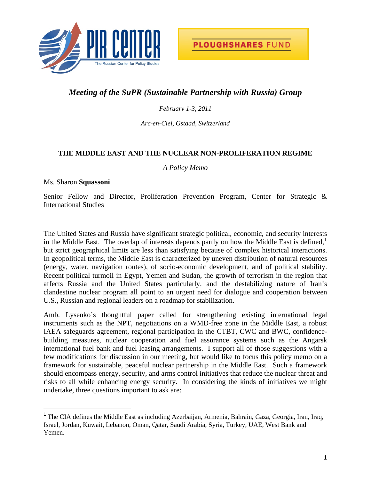

# *Meeting of the SuPR (Sustainable Partnership with Russia) Group*

*February 1-3, 2011* 

*Arc-en-Ciel, Gstaad, Switzerland* 

### **THE MIDDLE EAST AND THE NUCLEAR NON-PROLIFERATION REGIME**

*A Policy Memo* 

#### Ms. Sharon **Squassoni**

Senior Fellow and Director, Proliferation Prevention Program, Center for Strategic & International Studies

The United States and Russia have significant strategic political, economic, and security interests in the Middle East. The overlap of interests depends partly on how the Middle East is defined, $\frac{1}{1}$  $\frac{1}{1}$  $\frac{1}{1}$ but strict geographical limits are less than satisfying because of complex historical interactions. In geopolitical terms, the Middle East is characterized by uneven distribution of natural resources (energy, water, navigation routes), of socio-economic development, and of political stability. Recent political turmoil in Egypt, Yemen and Sudan, the growth of terrorism in the region that affects Russia and the United States particularly, and the destabilizing nature of Iran's clandestine nuclear program all point to an urgent need for dialogue and cooperation between U.S., Russian and regional leaders on a roadmap for stabilization.

Amb. Lysenko's thoughtful paper called for strengthening existing international legal instruments such as the NPT, negotiations on a WMD-free zone in the Middle East, a robust IAEA safeguards agreement, regional participation in the CTBT, CWC and BWC, confidencebuilding measures, nuclear cooperation and fuel assurance systems such as the Angarsk international fuel bank and fuel leasing arrangements. I support all of those suggestions with a few modifications for discussion in our meeting, but would like to focus this policy memo on a framework for sustainable, peaceful nuclear partnership in the Middle East. Such a framework should encompass energy, security, and arms control initiatives that reduce the nuclear threat and risks to all while enhancing energy security. In considering the kinds of initiatives we might undertake, three questions important to ask are:

<span id="page-0-0"></span><sup>&</sup>lt;sup>1</sup> The CIA defines the Middle East as including Azerbaijan, Armenia, Bahrain, Gaza, Georgia, Iran, Iraq, Israel, Jordan, Kuwait, Lebanon, Oman, Qatar, Saudi Arabia, Syria, Turkey, UAE, West Bank and Yemen.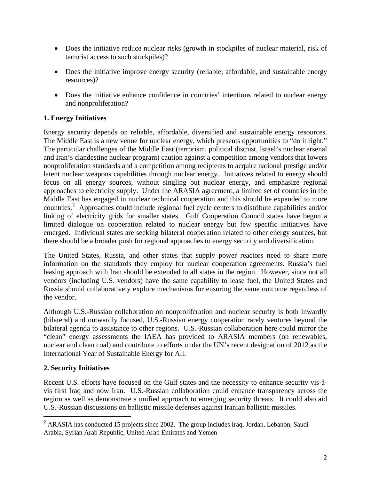- Does the initiative reduce nuclear risks (growth in stockpiles of nuclear material, risk of terrorist access to such stockpiles)?
- Does the initiative improve energy security (reliable, affordable, and sustainable energy resources)?
- Does the initiative enhance confidence in countries' intentions related to nuclear energy and nonproliferation?

# **1. Energy Initiatives**

Energy security depends on reliable, affordable, diversified and sustainable energy resources. The Middle East is a new venue for nuclear energy, which presents opportunities to "do it right." The particular challenges of the Middle East (terrorism, political distrust, Israel's nuclear arsenal and Iran's clandestine nuclear program) caution against a competition among vendors that lowers nonproliferation standards and a competition among recipients to acquire national prestige and/or latent nuclear weapons capabilities through nuclear energy. Initiatives related to energy should focus on all energy sources, without singling out nuclear energy, and emphasize regional approaches to electricity supply. Under the ARASIA agreement, a limited set of countries in the Middle East has engaged in nuclear technical cooperation and this should be expanded to more countries.[2](#page-1-0) Approaches could include regional fuel cycle centers to distribute capabilities and/or linking of electricity grids for smaller states. Gulf Cooperation Council states have begun a limited dialogue on cooperation related to nuclear energy but few specific initiatives have emerged. Individual states are seeking bilateral cooperation related to other energy sources, but there should be a broader push for regional approaches to energy security and diversification.

The United States, Russia, and other states that supply power reactors need to share more information on the standards they employ for nuclear cooperation agreements. Russia's fuel leasing approach with Iran should be extended to all states in the region. However, since not all vendors (including U.S. vendors) have the same capability to lease fuel, the United States and Russia should collaboratively explore mechanisms for ensuring the same outcome regardless of the vendor.

Although U.S.-Russian collaboration on nonproliferation and nuclear security is both inwardly (bilateral) and outwardly focused, U.S.-Russian energy cooperation rarely ventures beyond the bilateral agenda to assistance to other regions. U.S.-Russian collaboration here could mirror the "clean" energy assessments the IAEA has provided to ARASIA members (on renewables, nuclear and clean coal) and contribute to efforts under the UN's recent designation of 2012 as the International Year of Sustainable Energy for All.

## **2. Security Initiatives**

Recent U.S. efforts have focused on the Gulf states and the necessity to enhance security vis-àvis first Iraq and now Iran. U.S.-Russian collaboration could enhance transparency across the region as well as demonstrate a unified approach to emerging security threats. It could also aid U.S.-Russian discussions on ballistic missile defenses against Iranian ballistic missiles.

<span id="page-1-0"></span><sup>&</sup>lt;sup>2</sup> ARASIA has conducted 15 projects since 2002. The group includes Iraq, Jordan, Lebanon, Saudi Arabia, Syrian Arab Republic, United Arab Emirates and Yemen